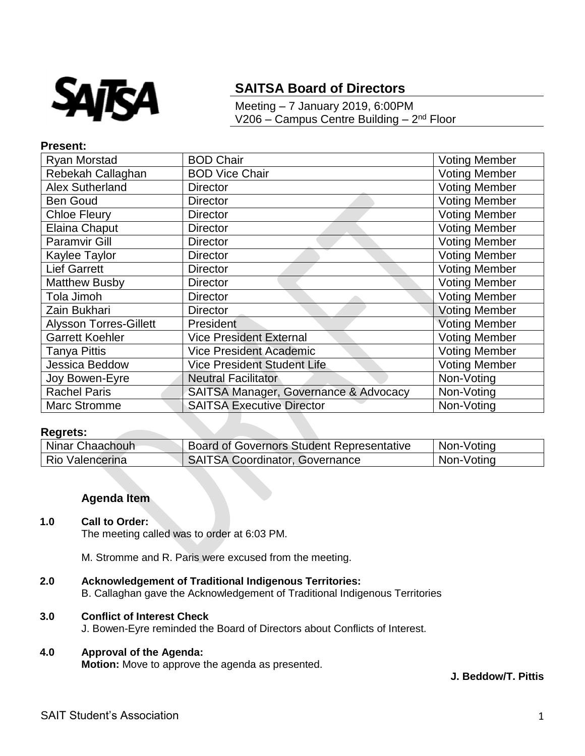

# **SAITSA Board of Directors**

Meeting – 7 January 2019, 6:00PM V206 – Campus Centre Building – 2<sup>nd</sup> Floor

#### **Present:**

| Ryan Morstad                  | <b>BOD Chair</b>                      | <b>Voting Member</b> |
|-------------------------------|---------------------------------------|----------------------|
| Rebekah Callaghan             | <b>BOD Vice Chair</b>                 | <b>Voting Member</b> |
| <b>Alex Sutherland</b>        | <b>Director</b>                       | Voting Member        |
| <b>Ben Goud</b>               | <b>Director</b>                       | <b>Voting Member</b> |
| <b>Chloe Fleury</b>           | <b>Director</b>                       | <b>Voting Member</b> |
| Elaina Chaput                 | <b>Director</b>                       | <b>Voting Member</b> |
| <b>Paramvir Gill</b>          | <b>Director</b>                       | <b>Voting Member</b> |
| Kaylee Taylor                 | <b>Director</b>                       | <b>Voting Member</b> |
| <b>Lief Garrett</b>           | <b>Director</b>                       | <b>Voting Member</b> |
| <b>Matthew Busby</b>          | <b>Director</b>                       | <b>Voting Member</b> |
| Tola Jimoh                    | <b>Director</b>                       | <b>Voting Member</b> |
| Zain Bukhari                  | <b>Director</b>                       | <b>Voting Member</b> |
| <b>Alysson Torres-Gillett</b> | President                             | Voting Member        |
| <b>Garrett Koehler</b>        | <b>Vice President External</b>        | <b>Voting Member</b> |
| <b>Tanya Pittis</b>           | <b>Vice President Academic</b>        | <b>Voting Member</b> |
| Jessica Beddow                | <b>Vice President Student Life</b>    | <b>Voting Member</b> |
| Joy Bowen-Eyre                | <b>Neutral Facilitator</b>            | Non-Voting           |
| <b>Rachel Paris</b>           | SAITSA Manager, Governance & Advocacy | Non-Voting           |
| Marc Stromme                  | <b>SAITSA Executive Director</b>      | Non-Voting           |

#### **Regrets:**

| Ninar Chaachouh | <b>Board of Governors Student Representative</b> | Non-Voting |
|-----------------|--------------------------------------------------|------------|
| Rio Valencerina | SAITSA Coordinator, Governance                   | Non-Voting |

## **Agenda Item**

#### **1.0 Call to Order:**

The meeting called was to order at 6:03 PM.

M. Stromme and R. Paris were excused from the meeting.

- **2.0 Acknowledgement of Traditional Indigenous Territories:**
	- B. Callaghan gave the Acknowledgement of Traditional Indigenous Territories

## **3.0 Conflict of Interest Check**

J. Bowen-Eyre reminded the Board of Directors about Conflicts of Interest.

# **4.0 Approval of the Agenda:**

**Motion:** Move to approve the agenda as presented.

**J. Beddow/T. Pittis**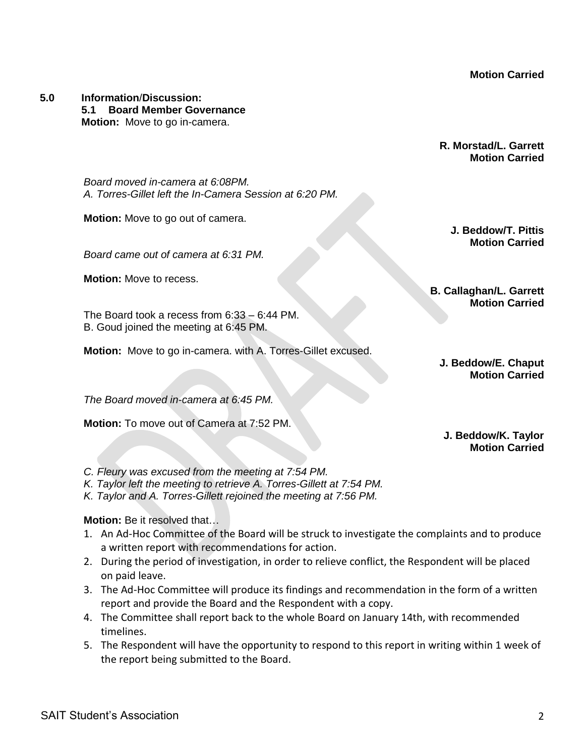**Motion Carried**

**5.0 Information**/**Discussion: 5.1 Board Member Governance Motion:** Move to go in-camera.

> **R. Morstad/L. Garrett Motion Carried**

*Board moved in-camera at 6:08PM. A. Torres-Gillet left the In-Camera Session at 6:20 PM.* 

**Motion:** Move to go out of camera.

*Board came out of camera at 6:31 PM.*

**Motion:** Move to recess.

The Board took a recess from 6:33 – 6:44 PM. B. Goud joined the meeting at 6:45 PM.

**Motion:** Move to go in-camera. with A. Torres-Gillet excused.

**B. Callaghan/L. Garrett Motion Carried**

**J. Beddow/T. Pittis Motion Carried**

**J. Beddow/E. Chaput Motion Carried**

*The Board moved in-camera at 6:45 PM.* 

**Motion:** To move out of Camera at 7:52 PM.

**J. Beddow/K. Taylor Motion Carried**

- *C. Fleury was excused from the meeting at 7:54 PM.*
- *K. Taylor left the meeting to retrieve A. Torres-Gillett at 7:54 PM.*
- *K. Taylor and A. Torres-Gillett rejoined the meeting at 7:56 PM.*

# **Motion:** Be it resolved that…

- 1. An Ad-Hoc Committee of the Board will be struck to investigate the complaints and to produce a written report with recommendations for action.
- 2. During the period of investigation, in order to relieve conflict, the Respondent will be placed on paid leave.
- 3. The Ad-Hoc Committee will produce its findings and recommendation in the form of a written report and provide the Board and the Respondent with a copy.
- 4. The Committee shall report back to the whole Board on January 14th, with recommended timelines.
- 5. The Respondent will have the opportunity to respond to this report in writing within 1 week of the report being submitted to the Board.